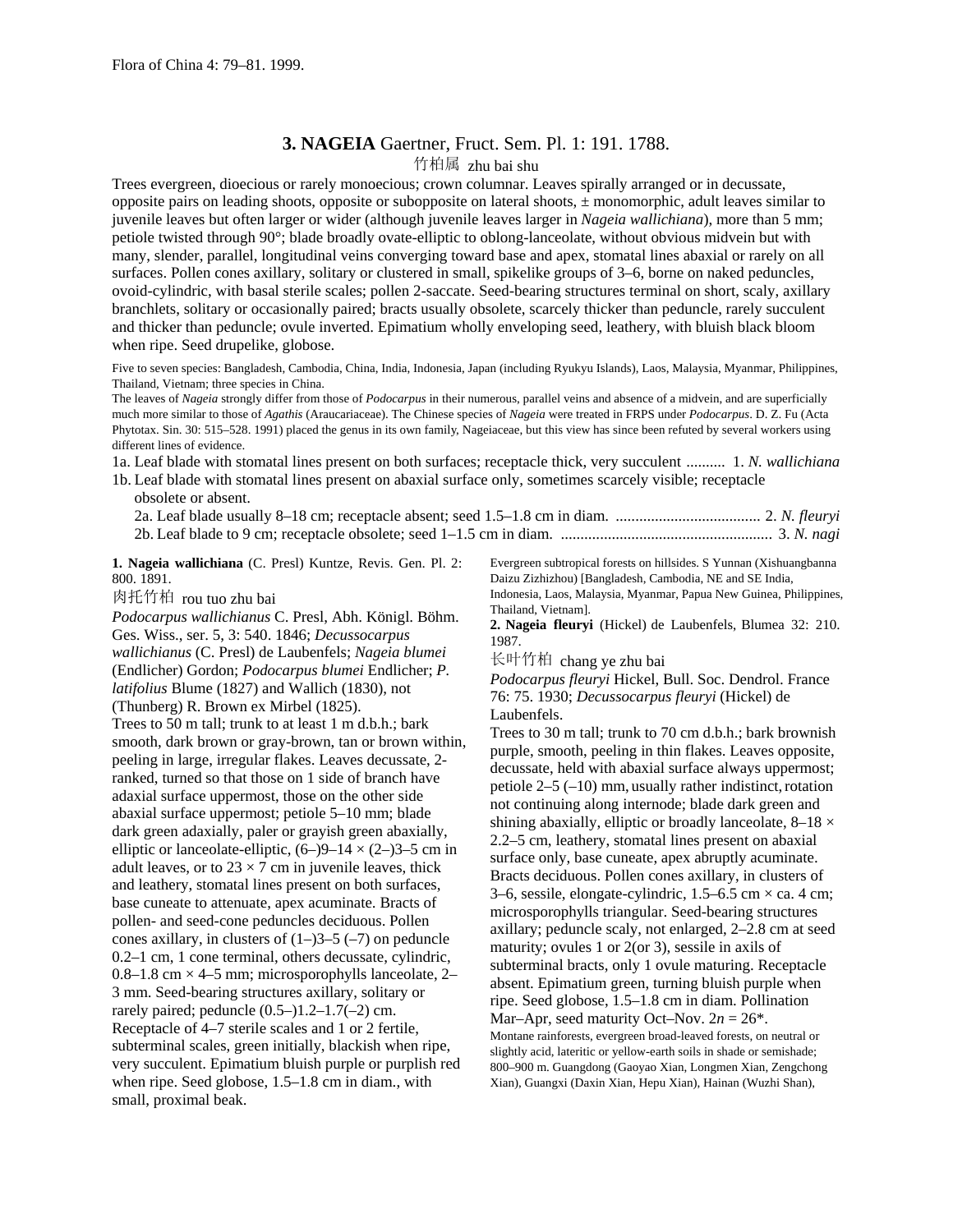## **3. NAGEIA** Gaertner, Fruct. Sem. Pl. 1: 191. 1788.

## 竹柏属 zhu bai shu

Trees evergreen, dioecious or rarely monoecious; crown columnar. Leaves spirally arranged or in decussate, opposite pairs on leading shoots, opposite or subopposite on lateral shoots,  $\pm$  monomorphic, adult leaves similar to juvenile leaves but often larger or wider (although juvenile leaves larger in *Nageia wallichiana*), more than 5 mm; petiole twisted through 90°; blade broadly ovate-elliptic to oblong-lanceolate, without obvious midvein but with many, slender, parallel, longitudinal veins converging toward base and apex, stomatal lines abaxial or rarely on all surfaces. Pollen cones axillary, solitary or clustered in small, spikelike groups of 3–6, borne on naked peduncles, ovoid-cylindric, with basal sterile scales; pollen 2-saccate. Seed-bearing structures terminal on short, scaly, axillary branchlets, solitary or occasionally paired; bracts usually obsolete, scarcely thicker than peduncle, rarely succulent and thicker than peduncle; ovule inverted. Epimatium wholly enveloping seed, leathery, with bluish black bloom when ripe. Seed drupelike, globose.

Five to seven species: Bangladesh, Cambodia, China, India, Indonesia, Japan (including Ryukyu Islands), Laos, Malaysia, Myanmar, Philippines, Thailand, Vietnam; three species in China.

The leaves of *Nageia* strongly differ from those of *Podocarpus* in their numerous, parallel veins and absence of a midvein, and are superficially much more similar to those of *Agathis* (Araucariaceae). The Chinese species of *Nageia* were treated in FRPS under *Podocarpus*. D. Z. Fu (Acta Phytotax. Sin. 30: 515–528. 1991) placed the genus in its own family, Nageiaceae, but this view has since been refuted by several workers using different lines of evidence.

1a. Leaf blade with stomatal lines present on both surfaces; receptacle thick, very succulent .......... 1. *N. wallichiana*

1b. Leaf blade with stomatal lines present on abaxial surface only, sometimes scarcely visible; receptacle obsolete or absent.

**1. Nageia wallichiana** (C. Presl) Kuntze, Revis. Gen. Pl. 2: 800. 1891.

肉托竹柏 rou tuo zhu bai

*Podocarpus wallichianus* C. Presl, Abh. Königl. Böhm. Ges. Wiss., ser. 5, 3: 540. 1846; *Decussocarpus wallichianus* (C. Presl) de Laubenfels; *Nageia blumei* (Endlicher) Gordon; *Podocarpus blumei* Endlicher; *P. latifolius* Blume (1827) and Wallich (1830), not (Thunberg) R. Brown ex Mirbel (1825). Trees to 50 m tall; trunk to at least 1 m d.b.h.; bark smooth, dark brown or gray-brown, tan or brown within, peeling in large, irregular flakes. Leaves decussate, 2 ranked, turned so that those on 1 side of branch have adaxial surface uppermost, those on the other side abaxial surface uppermost; petiole 5–10 mm; blade dark green adaxially, paler or grayish green abaxially, elliptic or lanceolate-elliptic,  $(6-9-14 \times (2-3-5)$  cm in adult leaves, or to  $23 \times 7$  cm in juvenile leaves, thick and leathery, stomatal lines present on both surfaces, base cuneate to attenuate, apex acuminate. Bracts of pollen- and seed-cone peduncles deciduous. Pollen cones axillary, in clusters of  $(1-)3-5$   $(-7)$  on peduncle 0.2–1 cm, 1 cone terminal, others decussate, cylindric, 0.8–1.8 cm  $\times$  4–5 mm; microsporophylls lanceolate, 2– 3 mm. Seed-bearing structures axillary, solitary or rarely paired; peduncle  $(0.5-)1.2-1.7(-2)$  cm. Receptacle of 4–7 sterile scales and 1 or 2 fertile, subterminal scales, green initially, blackish when ripe, very succulent. Epimatium bluish purple or purplish red when ripe. Seed globose, 1.5–1.8 cm in diam., with small, proximal beak.

Evergreen subtropical forests on hillsides. S Yunnan (Xishuangbanna Daizu Zizhizhou) [Bangladesh, Cambodia, NE and SE India, Indonesia, Laos, Malaysia, Myanmar, Papua New Guinea, Philippines,

Thailand, Vietnam].

**2. Nageia fleuryi** (Hickel) de Laubenfels, Blumea 32: 210. 1987.

长叶竹柏 chang ye zhu bai

*Podocarpus fleuryi* Hickel, Bull. Soc. Dendrol. France 76: 75. 1930; *Decussocarpus fleuryi* (Hickel) de Laubenfels.

Trees to 30 m tall; trunk to 70 cm d.b.h.; bark brownish purple, smooth, peeling in thin flakes. Leaves opposite, decussate, held with abaxial surface always uppermost; petiole  $2-5$  (-10) mm, usually rather indistinct, rotation not continuing along internode; blade dark green and shining abaxially, elliptic or broadly lanceolate,  $8-18 \times$ 2.2–5 cm, leathery, stomatal lines present on abaxial surface only, base cuneate, apex abruptly acuminate. Bracts deciduous. Pollen cones axillary, in clusters of 3–6, sessile, elongate-cylindric,  $1.5$ –6.5 cm  $\times$  ca. 4 cm; microsporophylls triangular. Seed-bearing structures axillary; peduncle scaly, not enlarged, 2–2.8 cm at seed maturity; ovules 1 or 2(or 3), sessile in axils of subterminal bracts, only 1 ovule maturing. Receptacle absent. Epimatium green, turning bluish purple when ripe. Seed globose, 1.5–1.8 cm in diam. Pollination Mar–Apr, seed maturity Oct–Nov.  $2n = 26^*$ . Montane rainforests, evergreen broad-leaved forests, on neutral or slightly acid, lateritic or yellow-earth soils in shade or semishade; 800–900 m. Guangdong (Gaoyao Xian, Longmen Xian, Zengchong Xian), Guangxi (Daxin Xian, Hepu Xian), Hainan (Wuzhi Shan),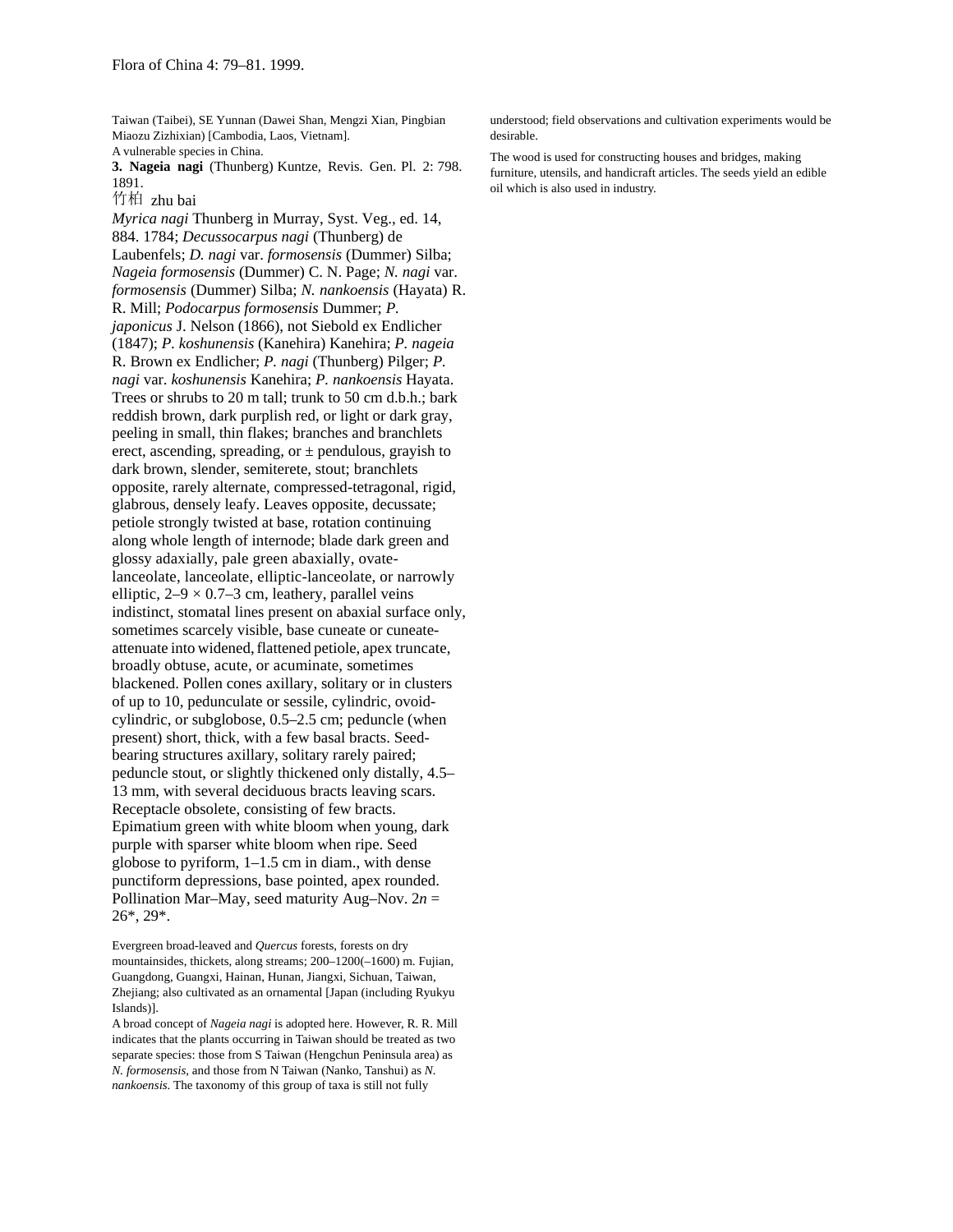Taiwan (Taibei), SE Yunnan (Dawei Shan, Mengzi Xian, Pingbian Miaozu Zizhixian) [Cambodia, Laos, Vietnam]. A vulnerable species in China.

**3. Nageia nagi** (Thunberg) Kuntze, Revis. Gen. Pl. 2: 798. 1891.

竹柏 zhu bai

*Myrica nagi* Thunberg in Murray, Syst. Veg., ed. 14, 884. 1784; *Decussocarpus nagi* (Thunberg) de Laubenfels; *D. nagi* var. *formosensis* (Dummer) Silba; *Nageia formosensis* (Dummer) C. N. Page; *N. nagi* var. *formosensis* (Dummer) Silba; *N. nankoensis* (Hayata) R. R. Mill; *Podocarpus formosensis* Dummer; *P. japonicus* J. Nelson (1866), not Siebold ex Endlicher (1847); *P. koshunensis* (Kanehira) Kanehira; *P. nageia* R. Brown ex Endlicher; *P. nagi* (Thunberg) Pilger; *P. nagi* var. *koshunensis* Kanehira; *P. nankoensis* Hayata. Trees or shrubs to 20 m tall; trunk to 50 cm d.b.h.; bark reddish brown, dark purplish red, or light or dark gray, peeling in small, thin flakes; branches and branchlets erect, ascending, spreading, or  $\pm$  pendulous, grayish to dark brown, slender, semiterete, stout; branchlets opposite, rarely alternate, compressed-tetragonal, rigid, glabrous, densely leafy. Leaves opposite, decussate; petiole strongly twisted at base, rotation continuing along whole length of internode; blade dark green and glossy adaxially, pale green abaxially, ovatelanceolate, lanceolate, elliptic-lanceolate, or narrowly elliptic,  $2-9 \times 0.7-3$  cm, leathery, parallel veins indistinct, stomatal lines present on abaxial surface only, sometimes scarcely visible, base cuneate or cuneateattenuate into widened, flattened petiole, apex truncate, broadly obtuse, acute, or acuminate, sometimes blackened. Pollen cones axillary, solitary or in clusters of up to 10, pedunculate or sessile, cylindric, ovoidcylindric, or subglobose, 0.5–2.5 cm; peduncle (when present) short, thick, with a few basal bracts. Seedbearing structures axillary, solitary rarely paired; peduncle stout, or slightly thickened only distally, 4.5– 13 mm, with several deciduous bracts leaving scars. Receptacle obsolete, consisting of few bracts. Epimatium green with white bloom when young, dark purple with sparser white bloom when ripe. Seed globose to pyriform, 1–1.5 cm in diam., with dense punctiform depressions, base pointed, apex rounded. Pollination Mar–May, seed maturity Aug–Nov.  $2n =$ 26\*, 29\*.

Evergreen broad-leaved and *Quercus* forests, forests on dry mountainsides, thickets, along streams; 200–1200(–1600) m. Fujian, Guangdong, Guangxi, Hainan, Hunan, Jiangxi, Sichuan, Taiwan, Zhejiang; also cultivated as an ornamental [Japan (including Ryukyu Islands)].

A broad concept of *Nageia nagi* is adopted here. However, R. R. Mill indicates that the plants occurring in Taiwan should be treated as two separate species: those from S Taiwan (Hengchun Peninsula area) as *N. formosensis,* and those from N Taiwan (Nanko, Tanshui) as *N. nankoensis*. The taxonomy of this group of taxa is still not fully

understood; field observations and cultivation experiments would be desirable.

The wood is used for constructing houses and bridges, making furniture, utensils, and handicraft articles. The seeds yield an edible oil which is also used in industry.